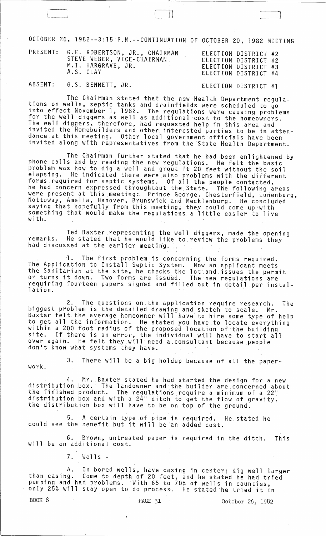OCTOBER 26, 1982--3:15 P.M.--CONTINUATION OF OCTOBER 20, 1982 MEETING

|            | PRESENT: G.E. ROBERTSON, JR., CHAIRMAN<br>STEVE WEBER, VICE-CHAIRMAN<br>M.I. HARGRAVE, JR.<br>A.S. CLAY | ELECTION DISTRICT #2<br>ELECTION DISTRICT #2<br>ELECTION DISTRICT #3<br>ELECTION DISTRICT #4 |  |
|------------|---------------------------------------------------------------------------------------------------------|----------------------------------------------------------------------------------------------|--|
| 0.7.7.1.7. |                                                                                                         |                                                                                              |  |

ABSENT: G.S. BENNETT, JR. ELECTION DISTRICT #1

 $\Box$ 

The Chairman stated that the new Health Department regula- tions on wells, septic tanks and drainfields were scheduled to go into effect November 1, 1982. The regulations were causing problems<br>for the well diggers as well as additional cost to the homeowners. The well diggers, therefore, had requested help in this area and invited the Homebuilders and other interested parties to be in attendance.at this meeting. Other local government officials have been invited along with representatives from the State Health Department.

The Chairman further stated that he had been enlightened by phone calls and by reading the new regulations. He felt the basic problem was how to dig a well and grout it 20 feet without the soil elapsing. He indicated there were also problems with the different forms required for septic systems. Of all the people contacted, he had concern expressed throughtout the. State. The following areas were present at this meeting: Prince George, Chesterfield, Lunenburg,<br>Nottoway, Amelia, Hanover, Brunswick and Mecklenburg. He concluded Nottoway, Amelia, Hanover, Brunswick and Mecklenburg. He concluded saying that hopefully from this meeting, they could come up with something that would make the regulations a little easier to live with.

Ted Baxter representing the well diggers, made the opening remarks. He stated that he would like to review the problems they<br>had discussed at the earlier meeting,

~.Tbe first problem is concerning the forms required. The Application to Install Septic System. Now an applicant meets the Sanitarian at the site, he checks. the lot.and.issues ·the permit or turns it down. Two forms are issued. The new regulations are requiring fourteen papers signed and filled out in detail per installation.

2. The questions on,the.application require research. The biggest problem is the detailed drawing and sketch to scale. Mr. Baxter felt the average homeowner will have to hire some type of help to get all the information. He stated you have.to locate everything within a 200 foot radius of the proposed location of·the building site. If there is an error, the individual will have to start all over again. He felt they will need a consultant because people<br>don't know what systems they-have.

work. 3. There will be a big holdup because of all the paper-

4. Mr. Baxter stated he had started the design for a new distribution box. The landowner and the builder are concerned about the finished product. The regulations require a minimum of a 22" distribution box and with a 24" ditch to get the flow of gravity, the distribution box will have to be on top of the ground.

5. A certain type.of pipe is required. He.stated he could see the benefit but it will be an added cost.

6. Brown, untreated paper is required in the ditch. This will be an additional cost.

7. Wells-

A. On bored wells, have casing in center; dig well larger than casing. Come to depth of 20 feet, and he stated he had tried pumping and had problems. With 65 to 70% of wells in counties, only 25% will stay open to do process. He stated he tried it in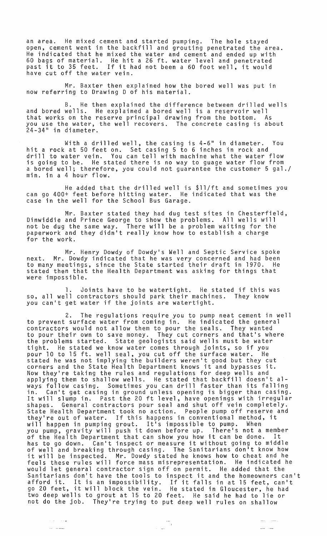an area. He mixed cement and started pumping. The hole stayed open, cement went in the backfill and grouting penetrated the area. He indicated that he mixed the water and cement and ended up with 60 bags of material. He hit a 26 ft. water level and penetrated past it to 35 feet. If it had not been a 60 foot well, it would have cut off the water vein.

Mr. Baxter then explained how the bored well was put in now referring to Drawing D of his material.

B. He then explained the difference between drilled wells and bored wells. He explained a bored well is a reservoir well that works on the reserve principal drawing from the bottom. As you use the water, the well recovers. The concrete casing is about 24-34" in diameter.

With a drilled well, the casing is 4-6" in diameter. You hit a rock at 50 feet on. Set casing 5 to 6 inches in rock and drill to water vein. You can tell with machine what the water flow is going to be. He stated there is no way to guage water flow from a bored well; therefore, you could not guarantee the customer 5 gal./ min. in a 4 hour flow.

He added that the drilled well is \$ll/ft and sometimes you can go 400+ feet before hitting water. He indicated that was the case in the well for the School Bus Garage.

Mr. Baxter stated they had dug test sites in Chesterfield, Dinwiddie and Prince George to show the problems. All wells will not be dug the same way. There will be a problem waiting for the paperwork and they didn't really know how to establish a charge for the work.

Mr. Henry Dowdy of Dowdy's Well and Septic Service spoke next. Mr. Dowdy indicated that he was very concerned and had been to many meetings, since the State started their draft in 1970. He stated then that the Health Department was asking for things that were impossible.

1. Joints have to be watertight. He stated if this was so, all well contractors should park their machines. They know you can't get water if the joints are watertight.

2. The regulations require you to pump neat cement in well to prevent surface water from coming in. He indicated the general contractors would not allow them to pour the seals. They wanted to pour their own to save money. They cut corners and that's where the problems started. State geologists said wells must be water tight. He stated we know water comes through joints, so if you pour 10 to 15 ft. well seal, you cut off the surface water. He stated he was not implying the builders weren't good but they cut corners and the State Health Department knows it and bypasses it. Now they're taking the rules and regulations for deep wells and applying them to shallow wells. He stated that backfill doesn't always follow casing. Sometimes you can drill faster than its falling in. Can't get casing in ground unless opening is bigger than casing. It will slump in. Past the 20 ft level, have openings with irregular shapes. General contractors pour seal and shut off vein completely. State Health Department took no action. People pump off reserve and they're out of water. If this happens in conventional method, it will happen in pumping grout. It's impossible to pump. When you pump, gravity will push it down before up. There's not a member you pump, gravity with push it down before up. There's not a member<br>of the Health Department that can show you how it can be done. It has to go down. Can't inspect or measure it without going to middle of well and breaking through casing. The Sanitarians don't know how it will be inspected. Mr. Dowdy stated he knows how to cheat and he feels these rules will force mass misrepresentation. He indicated he would let general contractor sign off on permit. He added that the Sanitarians don't have the tools to inspect it and the homeowners can't afford it. It is an impossibility. If it falls in at 15 feet, can't go 20 feet, it will block the vein. He stated in Gloucester, he had two deep wells to grout at 15 to 20 feet. He said he had to lie or not do the job. They're trying to put deep well rules on shallow

 $\frac{1}{2} \left( \frac{1}{2} \right) \left( \frac{1}{2} \right) \left( \frac{1}{2} \right) \left( \frac{1}{2} \right) \left( \frac{1}{2} \right) \left( \frac{1}{2} \right) \left( \frac{1}{2} \right) \left( \frac{1}{2} \right) \left( \frac{1}{2} \right) \left( \frac{1}{2} \right) \left( \frac{1}{2} \right) \left( \frac{1}{2} \right) \left( \frac{1}{2} \right) \left( \frac{1}{2} \right) \left( \frac{1}{2} \right) \left( \frac{1}{2} \right) \left( \frac$ 

 $\frac{1}{2} \frac{1}{2} \frac{1}{2} \frac{1}{2} \frac{1}{2} \frac{1}{2} \frac{1}{2} \frac{1}{2} \frac{1}{2} \frac{1}{2} \frac{1}{2} \frac{1}{2} \frac{1}{2} \frac{1}{2} \frac{1}{2} \frac{1}{2} \frac{1}{2} \frac{1}{2} \frac{1}{2} \frac{1}{2} \frac{1}{2} \frac{1}{2} \frac{1}{2} \frac{1}{2} \frac{1}{2} \frac{1}{2} \frac{1}{2} \frac{1}{2} \frac{1}{2} \frac{1}{2} \frac{1}{2} \frac{$ 

 $\hat{\phi}$  ,  $\hat{\phi}$  ,  $\hat{\phi}$  ,  $\hat{\phi}$ 

وتوسط والمعا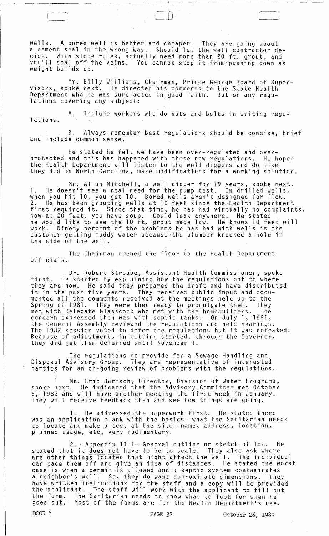wells. A bored well is better and cheaper. a cement seal in the wrong way. Should let the well contractor decide. With slope rules, actually need more than 20 ft. grout, and youlll seal off the veins. You cannot stop it from pushing down as weight builds up. They are going about

 $\Box$ 

Mr. Billy Williams, Chairman, Prince George Board of Supervisors, spoke next. He directed his comments to the State Health Department who he was sure acted in good faith. But on any regu-<br>lations covering any subject:

A. Include workers who do nuts and bolts in writing regu- lations.

B. Always remember best regulations should be concise, brief and include common sense.

He stated he felt we have been over-regulated and overprotected and this has happened with these new regulations. He hoped the Health Department will listen to the well diggers and do like they did in North Carolina, make modjfications for a working solution.

Mr. Allan Mitchell, a well digger for 19 years, spoke next. 1. He doesn't see a real need for the pump test. In drilled wells, when you hit 10, you get 10. Bored wells aren't designed for flow. 2. He has been grouting wells at 10 feet since the Health Department first required it. Since that time, he has had virtually no complaints. Now· at 20 feet, you have soup. Could leak anywhere. He stated he would like to see the 10 ft. grout made law. He knows 10 feet will work. Ninety percent of the problems he has had with wells is the customer getting muddy water because'the plumber knocked a hole in the side of the well.

The Chairman opened the floor to the Health Department officials.

Dr. Robert Stroube, Assistant Health Commissioner, spoke first. He started by explaining how the regulations got to where they are now. He said they prepared the draft and have distributed it in the past five years. They received public input and documented all the comments received at the meetings held up to the Spring of 1981. They were then ready to promulgate them. They met with Delegate Glasscock who met with the homebuilders. The concern expressed then was with septic tanks. On July 1, 1981, the General Assembly reviewed the regulations and held hearings.<br>The 1982 session voted to defer the regulations but it was defeated. Because of adjustments in getting started, through the Governor, they did get them deferred until November 1.

The regulations do provide for a Sewage Handling and Disposal Advisory Group. They are representative of interested parties for an on-going review of problems with the regulations.

Mr. Eric Bartsch, Director, Division of Water Programs, spoke next. He indicated that the Advisory 'Committee met October 6, 1982 and will have another meeting the first week in January. They will receive feedback then and see how things are going.

1. He addressed the paperwork first. He stated there was an application blank with the basics~-what the Sanitarian needs to locate and make a test at the site--name, address, location, planned usage, etc, very rudimentary.

2.' Appendix II-l--General outline or sketch of lot. He stated that it does not have to be to scale. They also ask where are other things located that might affect the well. The individual can pace them off and give an idea of distances. He stated the worst case is when a permit is all,owed and a septic system contaminates a neighbor's well. So, they do want approximate dimensions. They a harging of narring to the staff and a copy will be provided the 'applicant. The staff will work with the applicant to fill out the form. The Sanitarian needs to know what to look for when he<br>goes out. Most of the forms are for the Health Department's use Most of the forms are for the Health Department's use.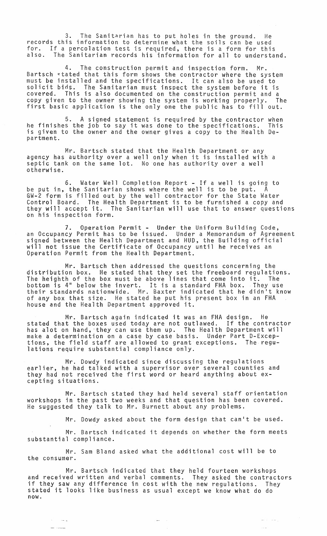The Sanitarian has to put holes in the ground. He records this information to determine what the soils can be used for. If a percolation test is required, there is a form for this also. The Sanitarian records his information for all to understand.

4. The construction permit and inspection form. Mr. Bartsch ctated that this form shows the contractor where the system must be installed and the specifications. It can also be used to solicit bids. The Sanitarian must inspect the system before it is covered. This is also documented on the construction permit and a copy given to the owner showing the system is working properly. The first basic application is the only one the public has to fill out.

5. A signed statement is required by the contractor when he finishes the job to say it was done to the specifications. This is given to the owner and the owner gives a copy to the Health Department.

Mr. Bartsch stated that the Health Department or any agency has authority over a well only when it is installed with a septic tank on the same lot. No one has authority over a well otherwise.

6. Water Well Completion Report - If a well is going to be put in, the Sanitarian shows where the well is to be put. A GW-2 form is filled out by the well contractor for the State Water Control Board. The Health Department is to be furnished a copy and they will accept it. The Sanitarian will use that to answer questions on his inspection form.

7. Operation Permit - Under the Uniform Building Code, an Occupancy Permit has to be issued. Under a Memorandum of Agreement signed between the Health Department and HUD, the Building official will not issue the Certificate of Occupancy until he receives an Operation Permit from the Health Department.

Mr. Bartsch then addressed the questions concerning the distribution box. He stated that they set the freeboard regulations. The heighth of the box must be above lines that come into it. The bottom is 411 below the invert. It is a standard FHA box. They use their standards nationwide. Mr. Baxter indicated that he didn't know of any box that size. He stated he put his present box in an FHA house and the Health Department approved it.

Mr. Bartsch again indicated it was an FHA design. He<br>t the boxes used today are not outlawed. If the contractor stated that the boxes used today are not outlawed. If the contractor has alot on hand, 'they can use them up. The Health Department will make a determination on a case by case basis. Under Part D-Exceptions, the field staff are allowed to grant exceptions. The regulations require substantial compliance only.

Mr. Dowdy indicated since discussing the regulations earlier, he had talked with a supervisor over several counties and they had not received the first word or heard anything about excepting situations.

Mr. Bartsch stated they had held several staff orientation workshops in the past two weeks and that question has been covered. He suggested they talk to Mr. Burnett about any problems.

Mr. Dowdy asked about the form design that can't be used.

إراست الدائيل

 $\sim$   $\sim$ 

Mr. Bartsch indicated it depends on whether the form meets substantial compliance.

Mr. Sam Bland asked what the additional cost will be to the consumer.

 $\rightarrow$   $\rightarrow$   $\rightarrow$ 

Mr. Bartsch indicated that they held fourteen workshops and received written and verbal comments. They asked the contractors if they saw any difference in cost with the new regulations. They stated it looks like business as usual except we know what do do now.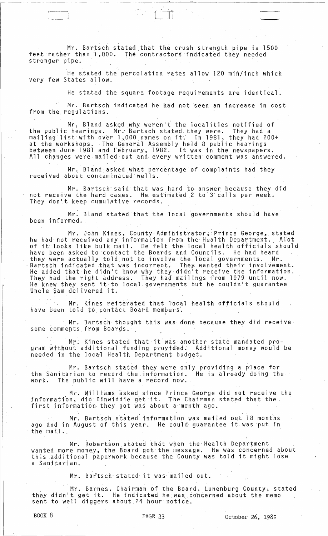Mr. Bartsch stated that the crush strength pipe is 1500 feet rather than 1,000. The contractors indicated they needed stronger pipe.

He stated the percolation rates allow 120 mih/inch which very few States allow.

He stated the square footage requirements are identical.

c:=n January 2007

Mr. Bartsch indicated he had not seen an increase in cost from the regulations.

Mr. Bland asked why weren't the localities notified of the public hearings. Mr. Bartsch stated they were. They had a mailing list with over 1,000 names on it. In 1981, they had 200+ at the workshops. The General Assembly held 8 public hearings<br>between June 1981 and February, 1982. It was in the newspapers. All changes were mailed out and every written comment was answered.

Mr. Bland asked what percentage of complaints had they<br>received about contaminated wells.

Mr. Bartsch said that was hard to answer because they did<br>not receive the hard cases. He estimated 2 to 3 calls per week. They don't keep cumulative records.

Mr. Bland stated that the local governments should have been informed.

Mr. John Kines, County Administrator, Prince George, stated<br>he had not received any information from the Health Department. Alot<br>of it looks like bulk mail. He felt the local health officials should have been asked to contact the Boards and Councils. He had heard They were actually told not to involve the local governments. Mr.<br>Bartsch indicated that was incorrect. They wanted their involvement.<br>He added that he didn't know why they didn't receive the information.<br>They had the righ Uncle Sam delivered it.

Mr. Kines reiterated that local health officials should have been told to contact Board members.

Mr. Bartsch thought this was done because they did receive<br>some comments from Boards.

Mr. Kines stated that it was another state mandated program without additional funding provided. Additional money would be needed in the local Health Department budget.

Mr. Bartsch stated they were only providing a place for<br>the Sanitarian to record the information. He is already doing the The public will have a record now. work.

mr. Bartsch stated information was mailed out 18 months ago and in August of this year. He could guarantee it was put in the mail.

Mr. Robertson stated that when the Health Department wanted more money, the Board got the message. He was concerned about<br>this additional paperwork because the County was told it might lose a Sanitarian.

Mr. Bartsch-stated it was mailed out.

Mr. Barnes, Chairman of the Board, Lunenburg County, stated they didn't get it. He indicated he was concerned about the memo sent to well diggers about  $24$  hour notice.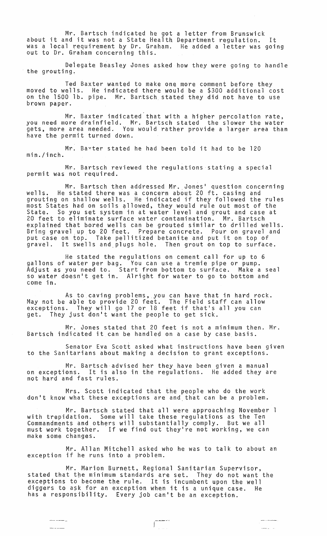Mr. Bartsch indicated he got about it and it was not a State Health was a local requirement by Dr. Graham. out to Dr. Graham concerning this. a letter from Brunswick Department regulation. It He added a letter was going

Delegate Beasley Jones asked how they were going to handle the grouting.

Ted Baxter wanted to make one more comment before they moved to wells. He indicated there would be a \$300 additional cost on the 1500 lb. pipe. Mr. Bartsch stated they did not have to use brown paper.

Mr. Baxter indicated that with a higher percolation rate, you need more drainfield. Mr. Bartsch stated the slower the water gets, more area needed. You would rather provide a larger area than have the permit turned down.

Mr. Bavter stated he had been told it had to be 120 min./inch.

Mr. Bartsch reviewed the regulations stating a special permit was not required.

Mr. Bartsch then addressed Mr. Jones' question concerning wells. He stated there was a concern about 20 ft. casing and grouting on shallow wells. He indicated if they followed the rules most States had on soils allowed, they would rule out most of the State. So Y9U set system in at water level and grout and case at 20 feet to eliminate surface water contamination. Mr. Bartsch explained that bored wells can be grouted similar to drilled wells. Bring gravel up to 20 feet. Prepare concrete. Pour on gravel and put case on top. Take pellitized betanite and put it on top of gravel. It swells and.plugs hole. Then grout on top to surface.

He stated the regulations on cement call for up to 6 gallons of water per bag. You can use a tremie pipe or pump. Adjust as you need to. Start from bottom to surface. Make a seal so water doesn't get in. Alright for water to go to bottom and come in.

As to caving problems, you can have that in hard rock. May not be able to provide 20 feet. The Field staff can allow exceptions. They will go 17 or 18 feet if that's all you can get. They just don't want the people to get sick.

Mr. Jones stated that 20 feet is not a minimum then. Mr. Bartsch indicated it can be handled on a case by case basis.

Senator Eva Scott asked what instructions have been given to the Sanitarians about making a decision to grant exceptions.

Mr. Bartsch advised her they have been given a manual on exceptions. It is also in the regulations. He added they are not hard and fast rules.

Mrs. Scott indicated that the people who do the work don't know what these exceptions are and that can be a problem.

Mr. Bartsch stated that all were approaching November 1 with trepidation. Some will take these regulations as the Ten Commandments and others will substantially comply. But we all must work together. If we find out theylre not working, we can make some changes.

Mr. Allan Mitchell asked who he was to talk to about an exception if he runs into a problem.

Mr. Marion Burnett, Regional Sanitarian Supervisor, stated that the minimum standards are set. They do not want the exceptions to become the rule. It is incumbent upon the well diggers to ask for an exception when it is a unique case. He has a responsibility. Every job can't be an exception.

 $\label{eq:reduced} \begin{array}{lll} \mathcal{L}_{\text{in}}(\mathcal{A},\mathcal{A}) & \mathcal{L}_{\text{out}}(\mathcal{A}) \end{array}$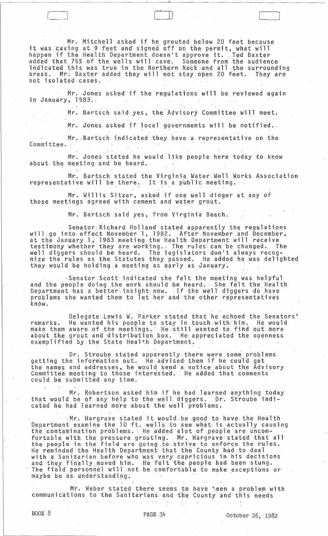Mr. Mitchell asked if he grouted below 20 feet because it was caving at 9 feet and signed off on the permit, what will it was caving at 9 feet and signed off on the permit, what will<br>happen if the Health Department doesn't approve it. Ted Baxter<br>added that 75% of the valle vill easy happen if the Health Department doesn't approve it. Ted Baxter<br>added that 75% of the wells will cave. Someone from the audience<br>indicated this use two is the Newtern Newternalised in indicated this was true in the Northern Neck and all the surrounding areas. Mr: Baxter added they will not stay open 20 feet. They are not isolated.cases.

--------.-.\_--- \_I'

r \_\_\_\_\_ .J

Mr. Jones asked if the regulations will be reviewed again in January, 1983 ..

Mr. Bartsch said yes, the Advisory Committee will meet.

Mr. Jones asked if local governments will be notified.

Mr. Bartsch indicated they have a representative on the Committee.

Mr. Jones stated he would like people here today to know about· the meeting-and be heard.

Mr. Bartsch stated the Virginia Water Well Works Association repres entative will be there. It is a public meeting.

Mr. Willis Sitzer, asked if one well' diqger at any of those meetings agreed with cement and water grout.

Mr. Bartsch said yes, from Virginia Beach.

Senator-Richard Holland stated apparently the regulations vill go into effect November 1, 1982. After November and December, at the January 1, 1983 meeting the Health Department will receive testimony whether they are worklng .. The rules. can be changed. The well diggers should be heard. The legislatorsdon't always recognize the rules as the Statutes they passed. He added he was delighted they would be holding·a meeting as early·as January.

· Senator Scott indicated she felt the meeting was helpful and the people doing the work should be heard. She felt the Health and the people doing the work should be heard. She felt the Heal<br>Department has a better insight now. If the well diggers do have problems she wanted them to let her and the other representatives<br>know.

Delegate Lewis W. Parker stated that he echoed the Senators'<br>He wanted his people to stay in touch with him. He would remarks. He wanted his people to stay in touch with him. He would remarks. He wanted his people to stay in touch with him. He would about the grout and distribution box. He appreciated the openness exemplified by the State Health Department.

Dr. Stroube stated apparently there were some problems getting the information out. He advised- them if he could get the names and addresses, he would send a notice about the Advisory<br>Committee meeting to those interested. He added that comments could be submitted.any time.

Mr. Robertson asked him if he had learned anything today that would be of any help to the well diggers. Dr. Stroube indicated he had learned more about the well problems.

··Mr. Hargrave stated itwouJd. be.good to have the Health. Department examine the 10 ft. wells to see what is actually causing the contamination problems. He added alot of people are uncomfortable with the pressure grouting. Mr. Hargrave stated that all the people in the field are going to,strive to enfOrce the rules. He reminded the Health Department that the County had to deal with a Sanitarian befOre'who was very cap~icious in his decisions and they' finally moved him. He felt the people had been stung. The field personnel will not be comfortable to make exceptions or maybe be as understanding.

Mr. Weber stated there seems to have been a problem with communications to the Sanitarians· and the County- and this needs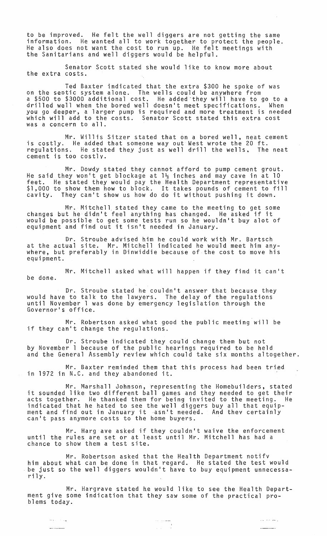to be improved. He felt the well diggers are not getting the same information. He wanted all to work together to protect the people. He also does not want the cost to run up. He felt meetings with the Sanitarians and well diggers would be helpful.

Senator Scott stated she would like to know more about the extra costs.

Ted Baxter indicated that the extra \$300 he spoke of was on the seotic system alone. The wells could be anywhere from a \$500 to \$3000 additional cost. He added they will have to go to a drilled well when the bored well doesn't meet specifications. When you go deeper, a larger pump is required and more treatment is needed which will add to the costs. Senator Scott stated this extra cost was a concern to all.

Mr. Willis Sitzer stated that on a bored well, neat cement is costly. He added that someone way out West wrote the 20 ft. regulations. He stated they just as well drill the wells. The neat cement is too costly.

Mr. Dowdy stated they cannot afford to pump cement grout. He said they won't get blockage at  $1\frac{1}{2}$  inches and may cave in at 10 feet. He stated they would pay the Health Department representative \$1,000 to show them how to block. It takes pounds of cement to fill cavity. They can't show us how do do it without pushing it down.

Mr. Mitchell. stated they came to the meeting to get some changes but he didn't feel anything has changed. He asked if it would be possible to get some tests run so he wouldn't buy alot of equipment and find out it isn't needed in January.

Dr. Stroube advised him he could work with Mr. Bartsch at the actual site. Mr. Mitchell indicated he would meet him anywhere, but preferably in Dinwiddie because of the cost to move his equipment.

Mr. Mitchell asked what will happen if they find it can't be done.

Dr. Stroube stated he couldn't answer that because they would have to talk to the lawyers. The delay of the regulations until November 1 was done by emergency legislation through the Governor's office.

Mr. Robertson asked what good the public meeting will be if they can't change the regulations.

Dr. Stroube indicated they could change them but not by November 1 because of the public hearings required to be held and the General Assembly review which could take six months altogether.

Mr. Baxter reminded them that this process had been tried in 1972 in N.C. and they abandoned it.

Mr. Marshall Johnson, representing the Homebuilders, stated it sounded like two different ball games and they needed to get their acts together. He thanked them for being invited to the meeting. He indicated that he hated to see the well diggers buy all that equip-<br>ment and find out in January it asn't needed. And thev certainly<br>can't pass anymore costs to the home buyers.

Mr. Harg ave asked if they couldn't waive the enforcement until the rules are set or at least until Mr. Mitchell has had a chance to show them a test site.

Mr. Robertson asked that the Health Department notify him about what can be done in that regard. He stated the test would<br>be just so the well diggers wouldn't have to buy equipment unnecessarily.

Mr. Hargrave stated he would like to see the Health Department give some indication that they saw some of the practical pro-<br>blems today.

والمسارمات للمراوي

وبالمناصب

.<br>Maria de processo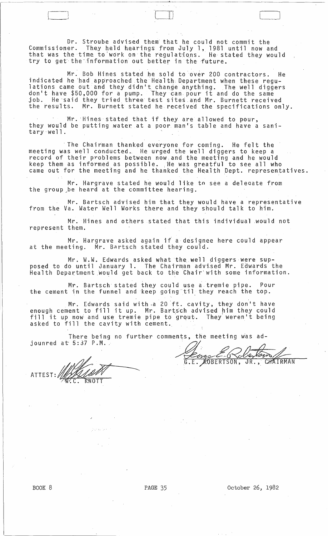Dr. Stroube advised them'that he could not commit the Commissioner. They held hearings from July 1, 1981 until now and that was the time to work on the regulations. He stated they would try to get'the-information out better in the future.

n <u>1999 - Johann Barnett, ameri</u>kansk kon

Mr. Bob Hines stated he sold to over 200 contractors. He indicated he had approached the Health Department when these regulations came out and they didn't change anything. The well diggers don't have \$50,000 for a pump. They can pour it and do the same job. He said they tried three test sites and Mr. Burnett received the results. Mr. Burnett stated he received the specifications only.

Mr. Hines stated that if they are allowed to pour, they would be putting water at a poor man's table and have a sanitary'well .

The Chairman thanked everyone for coming. He felt the meeting was well conducted. He urged the well diggers to keep a record of their problems .between now;and the meeting and he would keep them as informed as possible. ;He was greatful to see all who came out for the meeting and he thanked the Health Dept. representatives.

Mr. Hargrave stated he would like to see a deleaate from the group be heard at the committee hearing.

Mr. Bartsch advised him that they would have a representative from the Va. Water Well Works there and they should talk to him.

Mr. Hines and others stated that this individual .would not represent them.

Mr. Hargrave asked again if a designee here could appear at the meeting. Mr. Bartsch stated they could.

Mr. W.W. Edwards asked what the well diggers were supposed to do until January 1. The Chairman advised Mr. Edwards the .<br>Health Department would get back to the Chair'with some information.

Mr. Bartsch stated they could use atremie pipe. Pour the cement in the funnel and keep going til they reach the top.

Mr. Edwards said with a 20 ft. cavity, they don't have enough cement to fill it up. Mr. Bartsch advised him they could enough cement to fill it up. In . But sch advised film they could asked to fill the cavity with cement.

There being no further comments, the meeting was ad-

There being no further com<br>jounred at 5:37 P.M.<br>ATTEST: MANUALITY

BERTSON, JR., CHAIRMAN